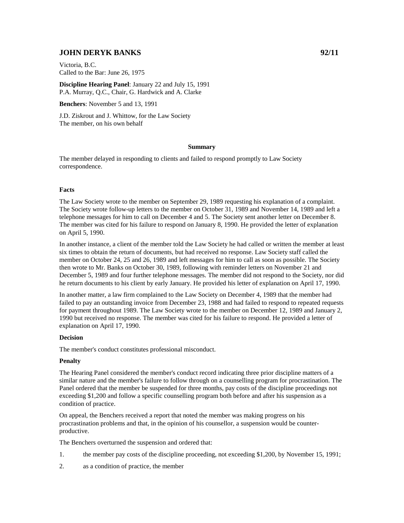# **JOHN DERYK BANKS 92/11**

Victoria, B.C. Called to the Bar: June 26, 1975

**Discipline Hearing Panel**: January 22 and July 15, 1991 P.A. Murray, Q.C., Chair, G. Hardwick and A. Clarke

**Benchers**: November 5 and 13, 1991

J.D. Ziskrout and J. Whittow, for the Law Society The member, on his own behalf

## **Summary**

The member delayed in responding to clients and failed to respond promptly to Law Society correspondence.

# **Facts**

The Law Society wrote to the member on September 29, 1989 requesting his explanation of a complaint. The Society wrote follow-up letters to the member on October 31, 1989 and November 14, 1989 and left a telephone messages for him to call on December 4 and 5. The Society sent another letter on December 8. The member was cited for his failure to respond on January 8, 1990. He provided the letter of explanation on April 5, 1990.

In another instance, a client of the member told the Law Society he had called or written the member at least six times to obtain the return of documents, but had received no response. Law Society staff called the member on October 24, 25 and 26, 1989 and left messages for him to call as soon as possible. The Society then wrote to Mr. Banks on October 30, 1989, following with reminder letters on November 21 and December 5, 1989 and four further telephone messages. The member did not respond to the Society, nor did he return documents to his client by early January. He provided his letter of explanation on April 17, 1990.

In another matter, a law firm complained to the Law Society on December 4, 1989 that the member had failed to pay an outstanding invoice from December 23, 1988 and had failed to respond to repeated requests for payment throughout 1989. The Law Society wrote to the member on December 12, 1989 and January 2, 1990 but received no response. The member was cited for his failure to respond. He provided a letter of explanation on April 17, 1990.

#### **Decision**

The member's conduct constitutes professional misconduct.

# **Penalty**

The Hearing Panel considered the member's conduct record indicating three prior discipline matters of a similar nature and the member's failure to follow through on a counselling program for procrastination. The Panel ordered that the member be suspended for three months, pay costs of the discipline proceedings not exceeding \$1,200 and follow a specific counselling program both before and after his suspension as a condition of practice.

On appeal, the Benchers received a report that noted the member was making progress on his procrastination problems and that, in the opinion of his counsellor, a suspension would be counterproductive.

The Benchers overturned the suspension and ordered that:

- 1. the member pay costs of the discipline proceeding, not exceeding \$1,200, by November 15, 1991;
- 2. as a condition of practice, the member